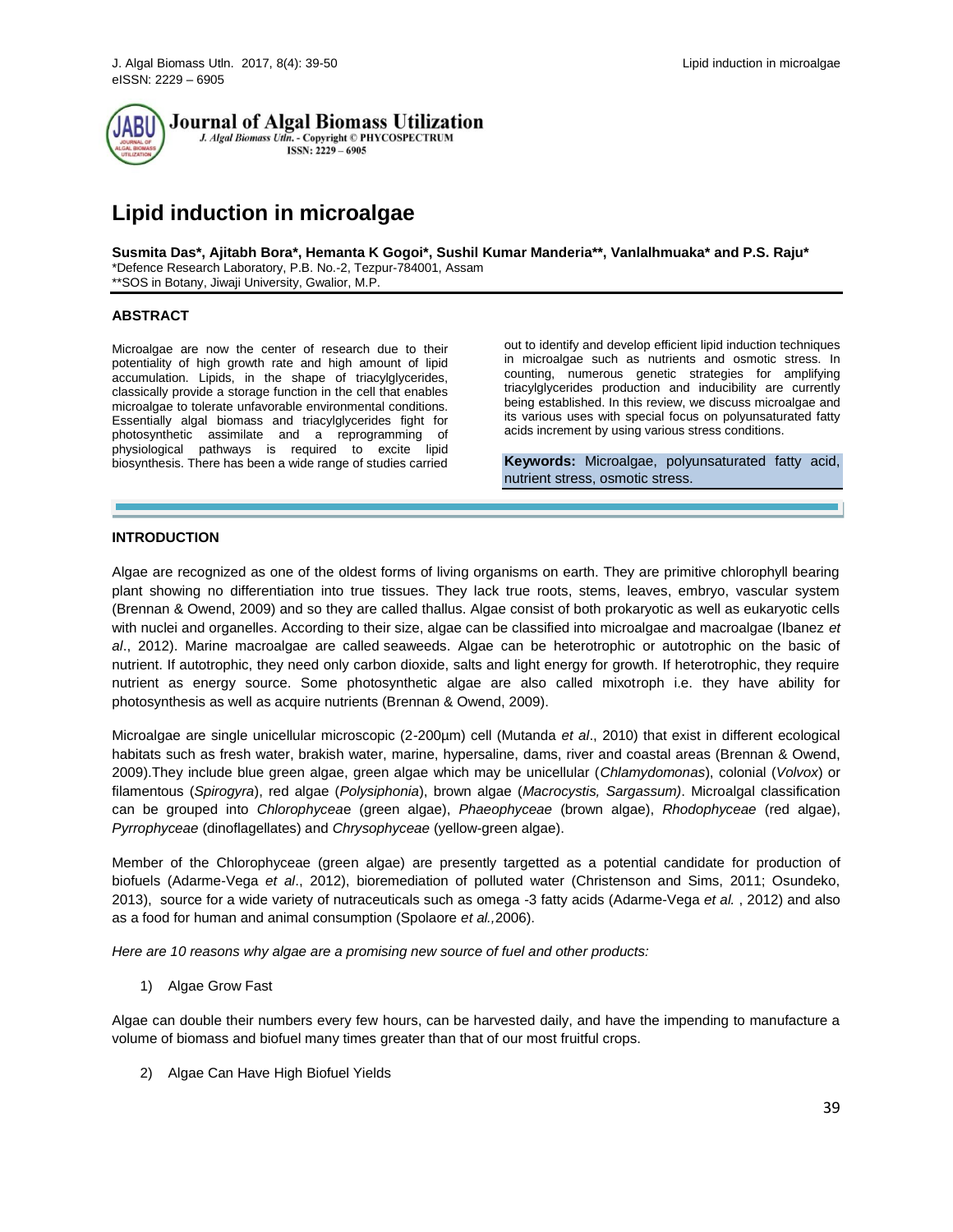

Journal of Algal Biomass Utilization J. Algal Biomass Utln. - Copyright © PHYCOSPECTRUM

 $ISSN: 2229 - 6905$ 

# **Lipid induction in microalgae**

**Susmita Das\*, Ajitabh Bora\*, Hemanta K Gogoi\*, Sushil Kumar Manderia\*\*, Vanlalhmuaka\* and P.S. Raju\*** \*Defence Research Laboratory, P.B. No.-2, Tezpur-784001, Assam \*\*SOS in Botany, Jiwaji University, Gwalior, M.P.

# **ABSTRACT**

Microalgae are now the center of research due to their potentiality of high growth rate and high amount of lipid accumulation. Lipids, in the shape of triacylglycerides, classically provide a storage function in the cell that enables microalgae to tolerate unfavorable environmental conditions. Essentially algal biomass and triacylglycerides fight for photosynthetic assimilate and a reprogramming of physiological pathways is required to excite lipid biosynthesis. There has been a wide range of studies carried

out to identify and develop efficient lipid induction techniques in microalgae such as nutrients and osmotic stress. In counting, numerous genetic strategies for amplifying triacylglycerides production and inducibility are currently being established. In this review, we discuss microalgae and its various uses with special focus on polyunsaturated fatty acids increment by using various stress conditions.

**Keywords:** Microalgae, polyunsaturated fatty acid, nutrient stress, osmotic stress.

# **INTRODUCTION**

Algae are recognized as one of the oldest forms of living organisms on earth. They are primitive chlorophyll bearing plant showing no differentiation into true tissues. They lack true roots, stems, leaves, embryo, vascular system (Brennan & Owend, 2009) and so they are called thallus. Algae consist of both prokaryotic as well as eukaryotic cells with nuclei and organelles. According to their size, algae can be classified into microalgae and macroalgae (Ibanez *et al*., 2012). Marine macroalgae are called seaweeds. Algae can be heterotrophic or autotrophic on the basic of nutrient. If autotrophic, they need only carbon dioxide, salts and light energy for growth. If heterotrophic, they require nutrient as energy source. Some photosynthetic algae are also called mixotroph i.e. they have ability for photosynthesis as well as acquire nutrients (Brennan & Owend, 2009).

Microalgae are single unicellular microscopic (2-200µm) cell (Mutanda *et al*., 2010) that exist in different ecological habitats such as fresh water, brakish water, marine, hypersaline, dams, river and coastal areas (Brennan & Owend, 2009).They include blue green algae, green algae which may be unicellular (*Chlamydomonas*), colonial (*Volvox*) or filamentous (*Spirogyra*), red algae (*Polysiphonia*), brown algae (*Macrocystis, Sargassum)*. Microalgal classification can be grouped into *Chlorophycea*e (green algae), *Phaeophyceae* (brown algae), *Rhodophyceae* (red algae), *Pyrrophyceae* (dinoflagellates) and *Chrysophyceae* (yellow-green algae).

Member of the Chlorophyceae (green algae) are presently targetted as a potential candidate for production of biofuels (Adarme-Vega *et al*., 2012), bioremediation of polluted water (Christenson and Sims, 2011; Osundeko, 2013), source for a wide variety of nutraceuticals such as omega -3 fatty acids (Adarme-Vega *et al.* , 2012) and also as a food for human and animal consumption (Spolaore *et al.,*2006).

*Here are 10 reasons why algae are a promising new source of fuel and other products:*

1) Algae Grow Fast

Algae can double their numbers every few hours, can be harvested daily, and have the impending to manufacture a volume of biomass and biofuel many times greater than that of our most fruitful crops.

2) Algae Can Have High Biofuel Yields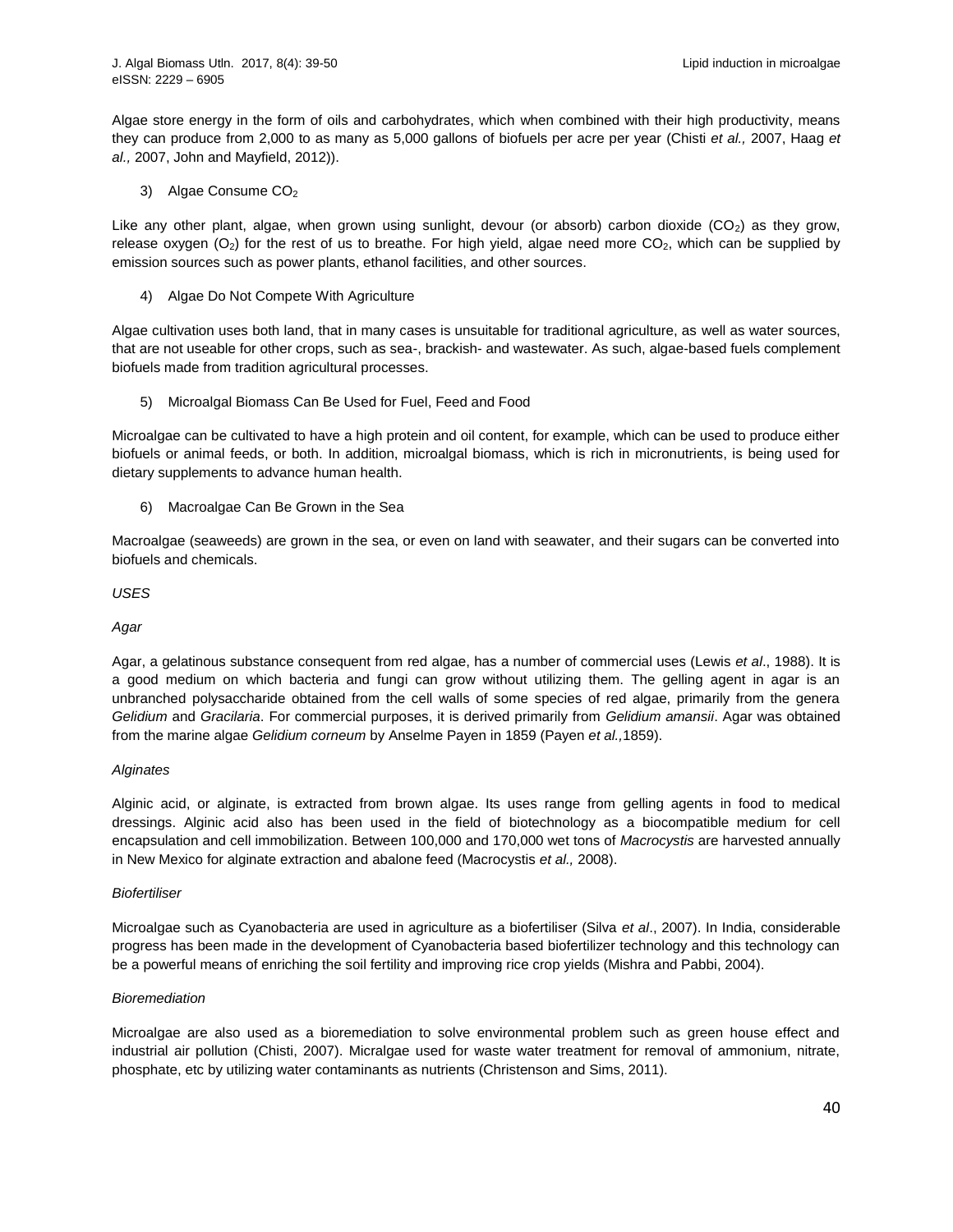Algae store energy in the form of oils and carbohydrates, which when combined with their high productivity, means they can produce from [2,000 to as many as 5,000 gallons](http://www.marciv.com/Biodiesel%20Feedstock%20Supplies%20Jan%2009%20MARC-IV.pdf) of biofuels per acre per year (Chisti *et al.,* 2007, Haag *et al.,* 2007, John and Mayfield, 2012)).

3) Algae Consume CO<sub>2</sub>

Like any other plant, algae, when grown using sunlight, devour (or absorb) carbon dioxide  $(CO<sub>2</sub>)$  as they grow, release oxygen  $(O_2)$  for the rest of us to breathe. For high yield, algae need more  $CO_2$ , which can be supplied by emission sources such as power plants, ethanol facilities, and other sources.

4) Algae Do Not Compete With Agriculture

Algae cultivation uses both land, that in many cases is unsuitable for traditional agriculture, as well as water sources, that are not useable for other crops, such as sea-, brackish- and wastewater. As such, algae-based fuels complement biofuels made from tradition agricultural processes.

5) Microalgal Biomass Can Be Used for Fuel, Feed and Food

Microalgae can be cultivated to have a high protein and oil content, for example, which can be used to produce either biofuels or animal feeds, or both. In addition, microalgal biomass, which is rich in micronutrients, is being used for dietary supplements to advance human health.

6) Macroalgae Can Be Grown in the Sea

Macroalgae (seaweeds) are grown in the sea, or even on land with seawater, and their sugars can be converted into biofuels and chemicals.

*USES*

*Agar*

[Agar,](file://wiki/Agar) a [gelatinous](file://wiki/Gelatin) substance consequent from [red algae,](file://wiki/Red_algae) has a number of commercial uses (Lewis *et al*., 1988). It is a good medium on which bacteria and fungi can grow without utilizing them. The gelling agent in agar is an unbranched polysaccharide obtained from the cell walls of some species of red algae, primarily from the genera *[Gelidium](https://en.wikipedia.org/wiki/Gelidium)* and *[Gracilaria](https://en.wikipedia.org/wiki/Gracilaria)*. For commercial purposes, it is derived primarily from *[Gelidium amansii](https://en.wikipedia.org/wiki/Gelidium_amansii)*. Agar was obtained from the marine algae *Gelidium corneum* b[y Anselme Payen](https://en.wikipedia.org/wiki/Anselme_Payen) in 1859 (Payen *et al.,*1859).

## *Alginates*

Alginic acid, or alginate, is extracted from brown algae. Its uses range from gelling agents in food to medical dressings. Alginic acid also has been used in the field of [biotechnology](file://wiki/Biotechnology) as a biocompatible medium for cell encapsulation and cell immobilization. Between 100,000 and 170,000 wet tons of *[Macrocystis](file://wiki/Macrocystis)* are harvested annually i[n New Mexico](file://wiki/New_Mexico) for [alginate](file://wiki/Alginic_acid) extraction and [abalone](file://wiki/Abalone) feed (Macrocystis *et al.,* 2008).

## *Biofertiliser*

Microalgae such as Cyanobacteria are used in agriculture as a biofertiliser (Silva *et al*., 2007). In India, considerable progress has been made in the development of Cyanobacteria based biofertilizer technology and this technology can be a powerful means of enriching the soil fertility and improving rice crop yields (Mishra and Pabbi, 2004).

# *Bioremediation*

Microalgae are also used as a bioremediation to solve environmental problem such as green house effect and industrial air pollution (Chisti, 2007). Micralgae used for waste water treatment for removal of ammonium, nitrate, phosphate, etc by utilizing water contaminants as nutrients (Christenson and Sims, 2011).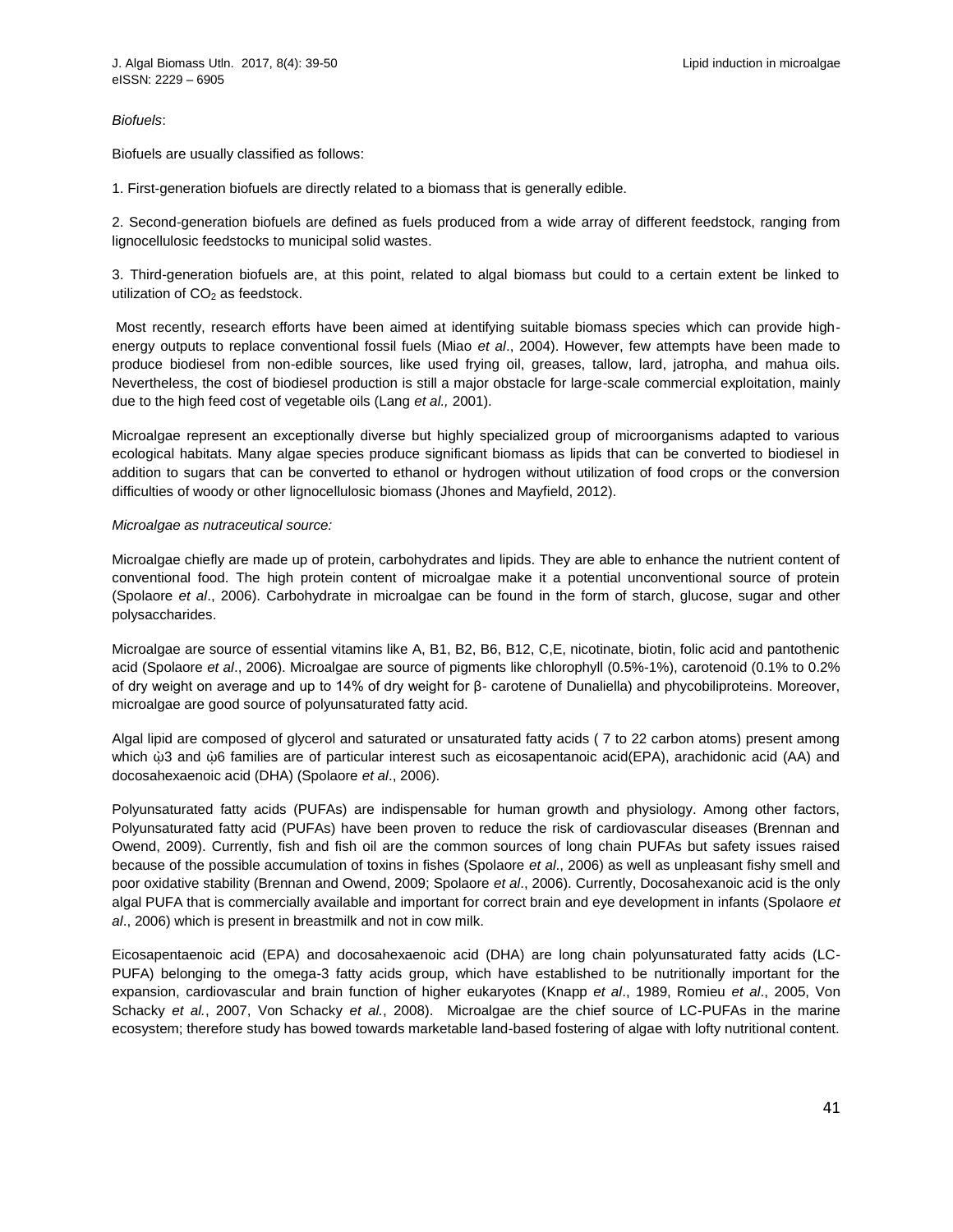*Biofuels*:

Biofuels are usually classified as follows:

1. First-generation biofuels are directly related to a biomass that is generally edible.

2. Second-generation biofuels are defined as fuels produced from a wide array of different feedstock, ranging from lignocellulosic feedstocks to municipal solid wastes.

3. Third-generation biofuels are, at this point, related to algal biomass but could to a certain extent be linked to utilization of  $CO<sub>2</sub>$  as feedstock.

Most recently, research efforts have been aimed at identifying suitable biomass species which can provide highenergy outputs to replace conventional fossil fuels (Miao *et al*., 2004). However, few attempts have been made to produce biodiesel from non-edible sources, like used frying oil, greases, tallow, lard, jatropha, and mahua oils. Nevertheless, the cost of biodiesel production is still a major obstacle for large-scale commercial exploitation, mainly due to the high feed cost of vegetable oils (Lang *et al.,* 2001).

Microalgae represent an exceptionally diverse but highly specialized group of microorganisms adapted to various ecological habitats. Many algae species produce significant biomass as lipids that can be converted to biodiesel in addition to sugars that can be converted to ethanol or hydrogen without utilization of food crops or the conversion difficulties of woody or other lignocellulosic biomass (Jhones and Mayfield, 2012).

#### *Microalgae as nutraceutical source:*

Microalgae chiefly are made up of protein, carbohydrates and lipids. They are able to enhance the nutrient content of conventional food. The high protein content of microalgae make it a potential unconventional source of protein (Spolaore *et al*., 2006). Carbohydrate in microalgae can be found in the form of starch, glucose, sugar and other polysaccharides.

Microalgae are source of essential vitamins like A, B1, B2, B6, B12, C,E, nicotinate, biotin, folic acid and pantothenic acid (Spolaore *et al*., 2006). Microalgae are source of pigments like chlorophyll (0.5%-1%), carotenoid (0.1% to 0.2% of dry weight on average and up to 14% of dry weight for β- carotene of Dunaliella) and phycobiliproteins. Moreover, microalgae are good source of polyunsaturated fatty acid.

Algal lipid are composed of glycerol and saturated or unsaturated fatty acids ( 7 to 22 carbon atoms) present among which  $\dot{\omega}$ 3 and  $\dot{\omega}$ 6 families are of particular interest such as eicosapentanoic acid(EPA), arachidonic acid (AA) and docosahexaenoic acid (DHA) (Spolaore *et al*., 2006).

Polyunsaturated fatty acids (PUFAs) are indispensable for human growth and physiology. Among other factors, Polyunsaturated fatty acid (PUFAs) have been proven to reduce the risk of cardiovascular diseases (Brennan and Owend, 2009). Currently, fish and fish oil are the common sources of long chain PUFAs but safety issues raised because of the possible accumulation of toxins in fishes (Spolaore *et al*., 2006) as well as unpleasant fishy smell and poor oxidative stability (Brennan and Owend, 2009; Spolaore *et al*., 2006). Currently, Docosahexanoic acid is the only algal PUFA that is commercially available and important for correct brain and eye development in infants (Spolaore *et al*., 2006) which is present in breastmilk and not in cow milk.

Eicosapentaenoic acid (EPA) and docosahexaenoic acid (DHA) are long chain polyunsaturated fatty acids (LC-PUFA) belonging to the omega-3 fatty acids group, which have established to be nutritionally important for the expansion, cardiovascular and brain function of higher eukaryotes (Knapp *et al*., 1989, Romieu *et al*., 2005, Von Schacky *et al.*, 2007, Von Schacky *et al.*, 2008). Microalgae are the chief source of LC-PUFAs in the marine ecosystem; therefore study has bowed towards marketable land-based fostering of algae with lofty nutritional content.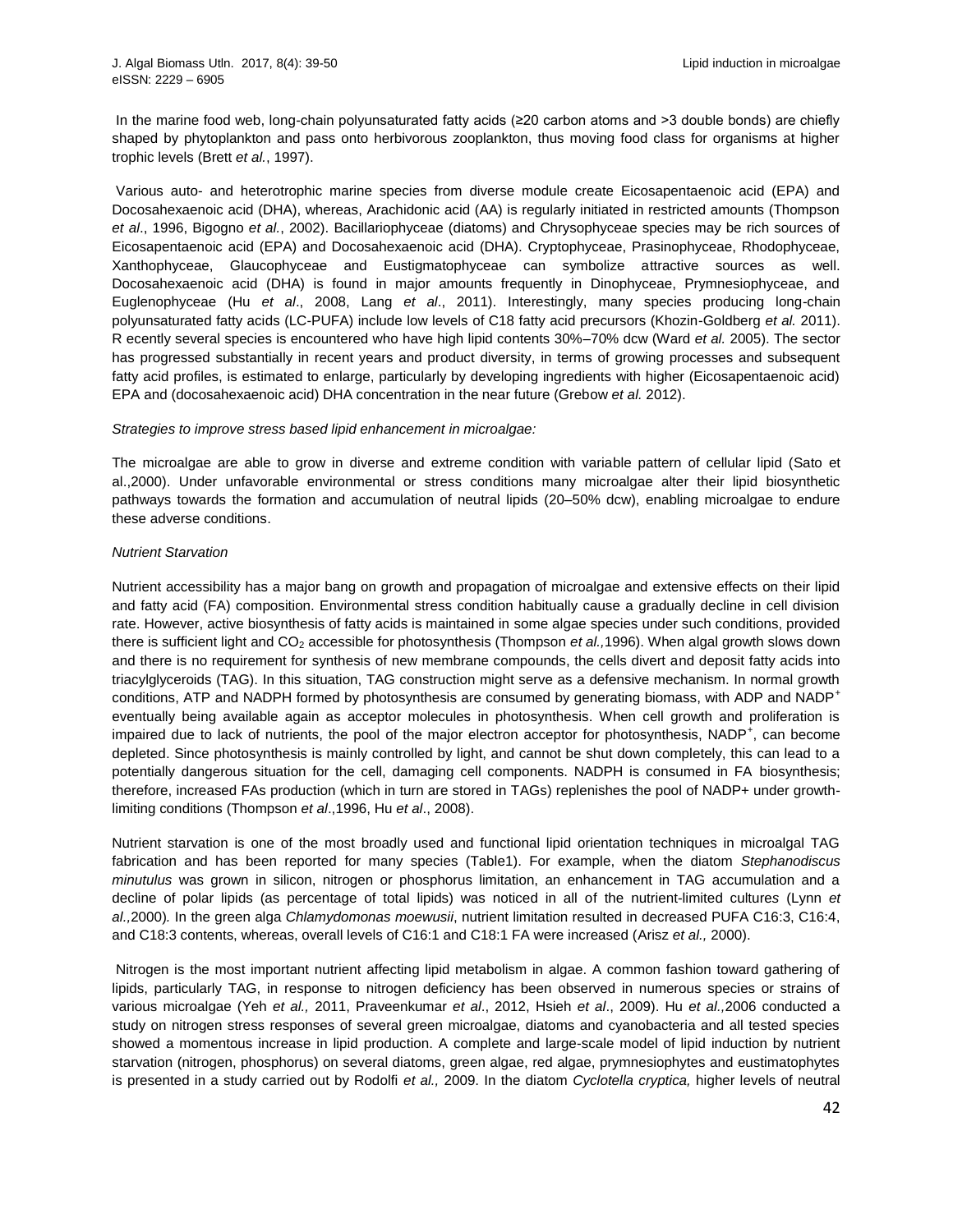In the marine food web, long-chain polyunsaturated fatty acids (≥20 carbon atoms and >3 double bonds) are chiefly shaped by phytoplankton and pass onto herbivorous zooplankton, thus moving food class for organisms at higher trophic levels (Brett *et al.*, 1997).

Various auto- and heterotrophic marine species from diverse module create Eicosapentaenoic acid (EPA) and Docosahexaenoic acid (DHA), whereas, Arachidonic acid (AA) is regularly initiated in restricted amounts (Thompson *et al*., 1996, Bigogno *et al.*, 2002). Bacillariophyceae (diatoms) and Chrysophyceae species may be rich sources of Eicosapentaenoic acid (EPA) and Docosahexaenoic acid (DHA). Cryptophyceae, Prasinophyceae, Rhodophyceae, Xanthophyceae, Glaucophyceae and Eustigmatophyceae can symbolize attractive sources as well. Docosahexaenoic acid (DHA) is found in major amounts frequently in Dinophyceae, Prymnesiophyceae, and Euglenophyceae (Hu *et al*., 2008, Lang *et al*., 2011). Interestingly, many species producing long-chain polyunsaturated fatty acids (LC-PUFA) include low levels of C18 fatty acid precursors (Khozin-Goldberg *et al.* 2011). R ecently several species is encountered who have high lipid contents 30%–70% dcw (Ward *et al.* 2005). The sector has progressed substantially in recent years and product diversity, in terms of growing processes and subsequent fatty acid profiles, is estimated to enlarge, particularly by developing ingredients with higher (Eicosapentaenoic acid) EPA and (docosahexaenoic acid) DHA concentration in the near future (Grebow *et al.* 2012).

#### *Strategies to improve stress based lipid enhancement in microalgae:*

The microalgae are able to grow in diverse and extreme condition with variable pattern of cellular lipid (Sato et al.,2000). Under unfavorable environmental or stress conditions many microalgae alter their lipid biosynthetic pathways towards the formation and accumulation of neutral lipids (20–50% dcw), enabling microalgae to endure these adverse conditions.

#### *Nutrient Starvation*

Nutrient accessibility has a major bang on growth and propagation of microalgae and extensive effects on their lipid and fatty acid (FA) composition. Environmental stress condition habitually cause a gradually decline in cell division rate. However, active biosynthesis of fatty acids is maintained in some algae species under such conditions, provided there is sufficient light and CO<sub>2</sub> accessible for photosynthesis (Thompson *et al.*,1996). When algal growth slows down and there is no requirement for synthesis of new membrane compounds, the cells divert and deposit fatty acids into triacylglyceroids (TAG). In this situation, TAG construction might serve as a defensive mechanism. In normal growth conditions, ATP and NADPH formed by photosynthesis are consumed by generating biomass, with ADP and NADP<sup>+</sup> eventually being available again as acceptor molecules in photosynthesis. When cell growth and proliferation is impaired due to lack of nutrients, the pool of the major electron acceptor for photosynthesis, NADP<sup>+</sup>, can become depleted. Since photosynthesis is mainly controlled by light, and cannot be shut down completely, this can lead to a potentially dangerous situation for the cell, damaging cell components. NADPH is consumed in FA biosynthesis; therefore, increased FAs production (which in turn are stored in TAGs) replenishes the pool of NADP+ under growthlimiting conditions (Thompson *et al*.,1996, Hu *et al*., 2008).

Nutrient starvation is one of the most broadly used and functional lipid orientation techniques in microalgal TAG fabrication and has been reported for many species (Table1). For example, when the diatom *Stephanodiscus minutulus* was grown in silicon, nitrogen or phosphorus limitation, an enhancement in TAG accumulation and a decline of polar lipids (as percentage of total lipids) was noticed in all of the nutrient-limited culture*s* (Lynn *et al.,*2000)*.* In the green alga *Chlamydomonas moewusii*, nutrient limitation resulted in decreased PUFA C16:3, C16:4, and C18:3 contents, whereas, overall levels of C16:1 and C18:1 FA were increased (Arisz *et al.,* 2000).

Nitrogen is the most important nutrient affecting lipid metabolism in algae. A common fashion toward gathering of lipids, particularly TAG, in response to nitrogen deficiency has been observed in numerous species or strains of various microalgae (Yeh *et al.,* 2011, Praveenkumar *et al*., 2012, Hsieh *et al*., 2009). Hu *et al.,*2006 conducted a study on nitrogen stress responses of several green microalgae, diatoms and cyanobacteria and all tested species showed a momentous increase in lipid production. A complete and large-scale model of lipid induction by nutrient starvation (nitrogen, phosphorus) on several diatoms, green algae, red algae, prymnesiophytes and eustimatophytes is presented in a study carried out by Rodolfi *et al.,* 2009. In the diatom *Cyclotella cryptica,* higher levels of neutral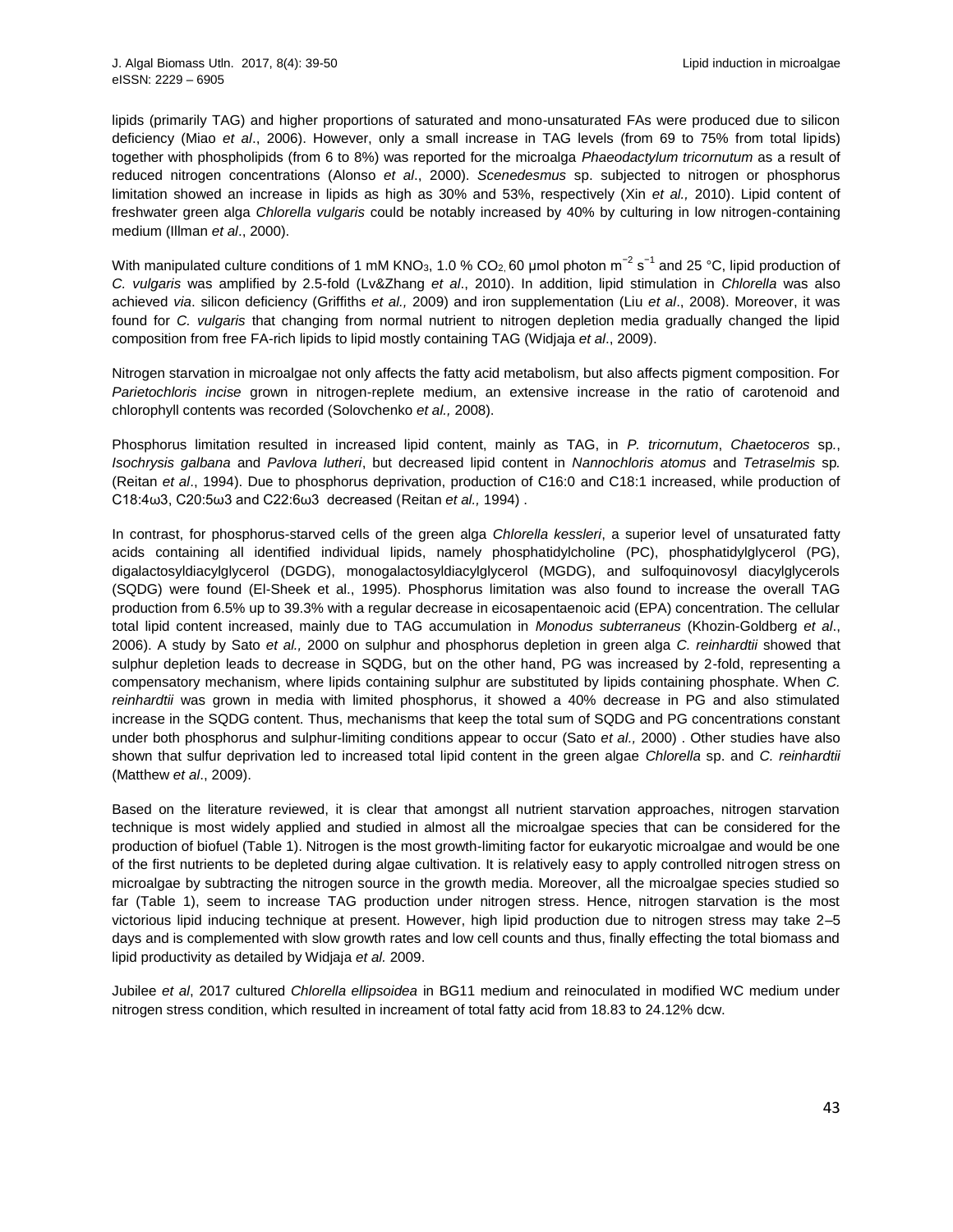lipids (primarily TAG) and higher proportions of saturated and mono-unsaturated FAs were produced due to silicon deficiency (Miao *et al*., 2006). However, only a small increase in TAG levels (from 69 to 75% from total lipids) together with phospholipids (from 6 to 8%) was reported for the microalga *Phaeodactylum tricornutum* as a result of reduced nitrogen concentrations (Alonso *et al*., 2000). *Scenedesmus* sp. subjected to nitrogen or phosphorus limitation showed an increase in lipids as high as 30% and 53%, respectively (Xin *et al.,* 2010). Lipid content of freshwater green alga *Chlorella vulgaris* could be notably increased by 40% by culturing in low nitrogen-containing medium (Illman *et al*., 2000).

With manipulated culture conditions of 1 mM KNO<sub>3</sub>, 1.0 % CO<sub>2,</sub> 60 µmol photon m<sup>-2</sup> s<sup>-1</sup> and 25 °C, lipid production of *C. vulgaris* was amplified by 2.5-fold (Lv&Zhang *et al*., 2010). In addition, lipid stimulation in *Chlorella* was also achieved *via*. silicon deficiency (Griffiths *et al.,* 2009) and iron supplementation (Liu *et al*., 2008). Moreover, it was found for *C. vulgaris* that changing from normal nutrient to nitrogen depletion media gradually changed the lipid composition from free FA-rich lipids to lipid mostly containing TAG (Widjaja *et al*., 2009).

Nitrogen starvation in microalgae not only affects the fatty acid metabolism, but also affects pigment composition. For *Parietochloris incise* grown in nitrogen-replete medium, an extensive increase in the ratio of carotenoid and chlorophyll contents was recorded (Solovchenko *et al.,* 2008).

Phosphorus limitation resulted in increased lipid content, mainly as TAG, in *P. tricornutum*, *Chaetoceros* sp*.*, *Isochrysis galbana* and *Pavlova lutheri*, but decreased lipid content in *Nannochloris atomus* and *Tetraselmis* sp*.*  (Reitan *et al*., 1994). Due to phosphorus deprivation, production of C16:0 and C18:1 increased, while production of C18:4ω3, C20:5ω3 and C22:6ω3 decreased (Reitan *et al.,* 1994) .

In contrast, for phosphorus-starved cells of the green alga *Chlorella kessleri*, a superior level of unsaturated fatty acids containing all identified individual lipids, namely phosphatidylcholine (PC), phosphatidylglycerol (PG), digalactosyldiacylglycerol (DGDG), monogalactosyldiacylglycerol (MGDG), and sulfoquinovosyl diacylglycerols (SQDG) were found (El-Sheek et al., 1995). Phosphorus limitation was also found to increase the overall TAG production from 6.5% up to 39.3% with a regular decrease in eicosapentaenoic acid (EPA) concentration. The cellular total lipid content increased, mainly due to TAG accumulation in *Monodus subterraneus* (Khozin-Goldberg *et al*., 2006). A study by Sato *et al.,* 2000 on sulphur and phosphorus depletion in green alga *C. reinhardtii* showed that sulphur depletion leads to decrease in SQDG, but on the other hand, PG was increased by 2-fold, representing a compensatory mechanism, where lipids containing sulphur are substituted by lipids containing phosphate. When *C. reinhardtii* was grown in media with limited phosphorus, it showed a 40% decrease in PG and also stimulated increase in the SQDG content. Thus, mechanisms that keep the total sum of SQDG and PG concentrations constant under both phosphorus and sulphur-limiting conditions appear to occur (Sato *et al.,* 2000) . Other studies have also shown that sulfur deprivation led to increased total lipid content in the green algae *Chlorella* sp. and *C. reinhardtii*  (Matthew *et al*., 2009).

Based on the literature reviewed, it is clear that amongst all nutrient starvation approaches, nitrogen starvation technique is most widely applied and studied in almost all the microalgae species that can be considered for the production of biofuel (Table 1). Nitrogen is the most growth-limiting factor for eukaryotic microalgae and would be one of the first nutrients to be depleted during algae cultivation. It is relatively easy to apply controlled nitrogen stress on microalgae by subtracting the nitrogen source in the growth media. Moreover, all the microalgae species studied so far (Table 1), seem to increase TAG production under nitrogen stress. Hence, nitrogen starvation is the most victorious lipid inducing technique at present. However, high lipid production due to nitrogen stress may take 2–5 days and is complemented with slow growth rates and low cell counts and thus, finally effecting the total biomass and lipid productivity as detailed by Widjaja *et al.* 2009.

Jubilee *et al*, 2017 cultured *Chlorella ellipsoidea* in BG11 medium and reinoculated in modified WC medium under nitrogen stress condition, which resulted in increament of total fatty acid from 18.83 to 24.12% dcw.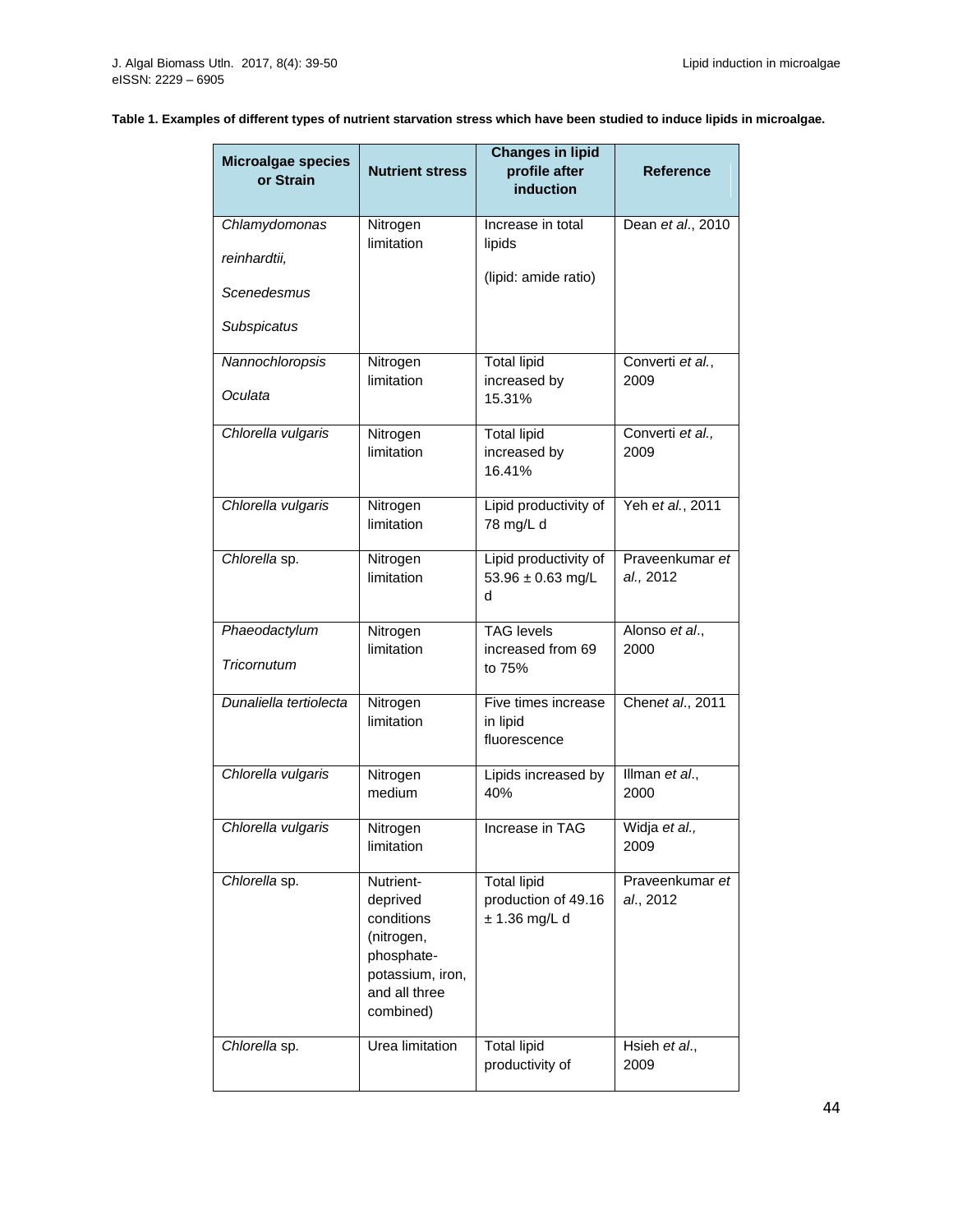# **Table 1. Examples of different types of nutrient starvation stress which have been studied to induce lipids in microalgae.**

| <b>Microalgae species</b><br>or Strain | <b>Nutrient stress</b>                                                                                            | <b>Changes in lipid</b><br>profile after<br>induction      | <b>Reference</b>             |
|----------------------------------------|-------------------------------------------------------------------------------------------------------------------|------------------------------------------------------------|------------------------------|
| Chlamydomonas<br>reinhardtii,          | Nitrogen<br>limitation                                                                                            | Increase in total<br>lipids                                | Dean et al., 2010            |
| Scenedesmus                            |                                                                                                                   | (lipid: amide ratio)                                       |                              |
| Subspicatus                            |                                                                                                                   |                                                            |                              |
| Nannochloropsis<br>Oculata             | Nitrogen<br>limitation                                                                                            | <b>Total lipid</b><br>increased by<br>15.31%               | Converti et al.,<br>2009     |
| Chlorella vulgaris                     | Nitrogen<br>limitation                                                                                            | <b>Total lipid</b><br>increased by<br>16.41%               | Converti et al.,<br>2009     |
| Chlorella vulgaris                     | Nitrogen<br>limitation                                                                                            | Lipid productivity of<br>78 mg/L d                         | Yeh et al., 2011             |
| Chlorella sp.                          | Nitrogen<br>limitation                                                                                            | Lipid productivity of<br>53.96 $\pm$ 0.63 mg/L<br>d        | Praveenkumar et<br>al., 2012 |
| Phaeodactylum<br>Tricornutum           | Nitrogen<br>limitation                                                                                            | <b>TAG</b> levels<br>increased from 69<br>to 75%           | Alonso et al.,<br>2000       |
| Dunaliella tertiolecta                 | Nitrogen<br>limitation                                                                                            | Five times increase<br>in lipid<br>fluorescence            | Chenet al., 2011             |
| Chlorella vulgaris                     | Nitrogen<br>medium                                                                                                | Lipids increased by<br>40%                                 | Illman et al.,<br>2000       |
| Chlorella vulgaris                     | Nitrogen<br>limitation                                                                                            | Increase in TAG                                            | Widja et al.,<br>2009        |
| Chlorella sp.                          | Nutrient-<br>deprived<br>conditions<br>(nitrogen,<br>phosphate-<br>potassium, iron,<br>and all three<br>combined) | <b>Total lipid</b><br>production of 49.16<br>± 1.36 mg/L d | Praveenkumar et<br>al., 2012 |
| Chlorella sp.                          | Urea limitation                                                                                                   | Total lipid<br>productivity of                             | Hsieh et al.,<br>2009        |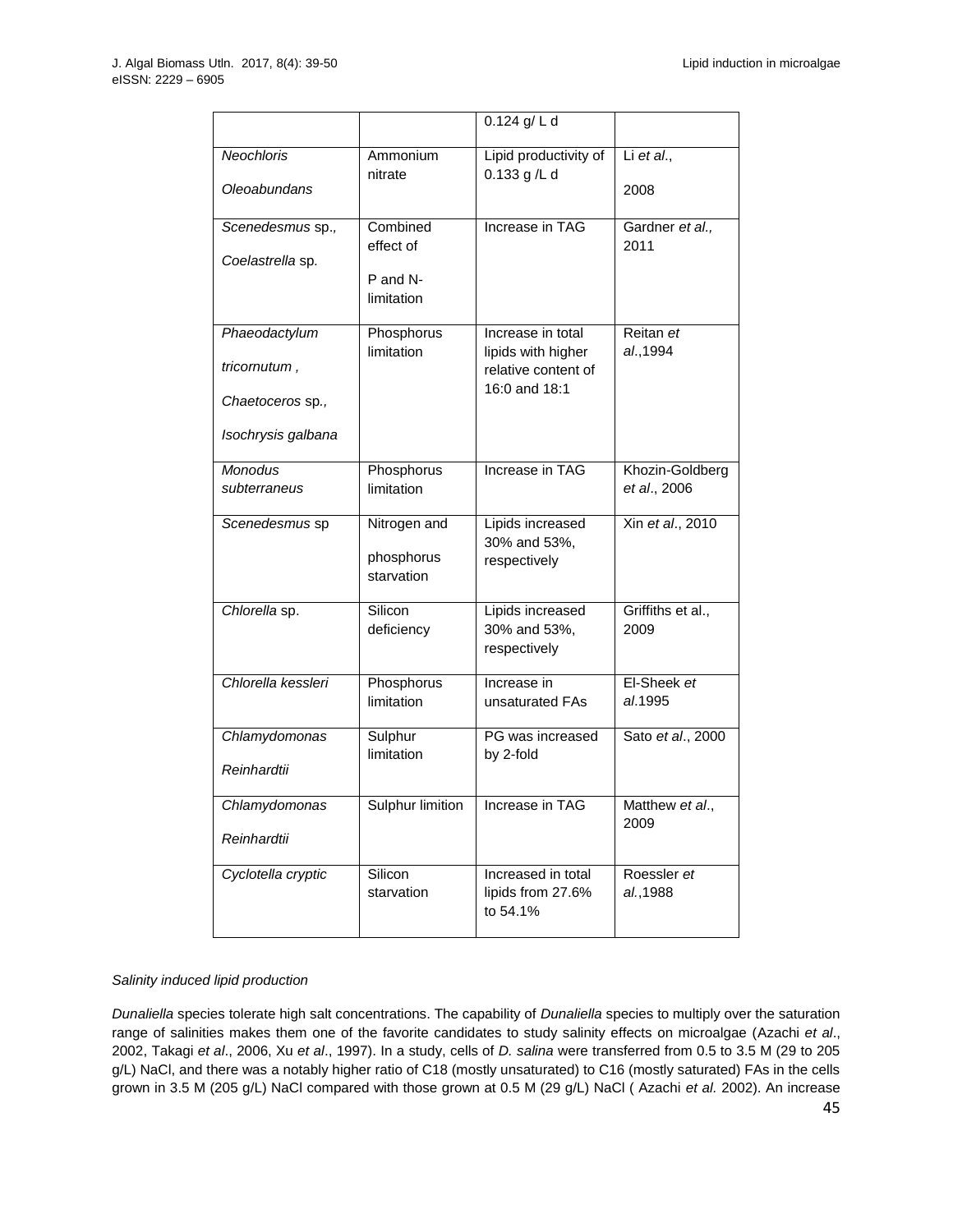|                                                                         |                                                 | 0.124 g/ L d                                                                    |                                 |
|-------------------------------------------------------------------------|-------------------------------------------------|---------------------------------------------------------------------------------|---------------------------------|
| <b>Neochloris</b><br>Oleoabundans                                       | Ammonium<br>nitrate                             | Lipid productivity of<br>0.133 g/L d                                            | Li et al.,<br>2008              |
| Scenedesmus sp.,<br>Coelastrella sp.                                    | Combined<br>effect of<br>P and N-<br>limitation | Increase in TAG                                                                 | Gardner et al.,<br>2011         |
| Phaeodactylum<br>tricornutum,<br>Chaetoceros sp.,<br>Isochrysis galbana | Phosphorus<br>limitation                        | Increase in total<br>lipids with higher<br>relative content of<br>16:0 and 18:1 | Reitan et<br>al., 1994          |
| <b>Monodus</b><br>subterraneus                                          | Phosphorus<br>limitation                        | Increase in TAG                                                                 | Khozin-Goldberg<br>et al., 2006 |
| Scenedesmus sp                                                          | Nitrogen and<br>phosphorus<br>starvation        | Lipids increased<br>30% and 53%,<br>respectively                                | Xin et al., 2010                |
| Chlorella sp.                                                           | Silicon<br>deficiency                           | Lipids increased<br>30% and 53%,<br>respectively                                | Griffiths et al.,<br>2009       |
| Chlorella kessleri                                                      | Phosphorus<br>limitation                        | Increase in<br>unsaturated FAs                                                  | El-Sheek et<br>al.1995          |
| Chlamydomonas<br>Reinhardtii                                            | Sulphur<br>limitation                           | PG was increased<br>by 2-fold                                                   | Sato et al., 2000               |
| Chlamydomonas<br>Reinhardtii                                            | Sulphur limition                                | Increase in TAG                                                                 | Matthew <i>et al</i><br>2009    |
| Cyclotella cryptic                                                      | Silicon<br>starvation                           | Increased in total<br>lipids from 27.6%<br>to 54.1%                             | Roessler et<br>al., 1988        |

# *Salinity induced lipid production*

*Dunaliella* species tolerate high salt concentrations. The capability of *Dunaliella* species to multiply over the saturation range of salinities makes them one of the favorite candidates to study salinity effects on microalgae (Azachi *et al*., 2002, Takagi *et al*., 2006, Xu *et al*., 1997). In a study, cells of *D. salina* were transferred from 0.5 to 3.5 M (29 to 205 g/L) NaCl, and there was a notably higher ratio of C18 (mostly unsaturated) to C16 (mostly saturated) FAs in the cells grown in 3.5 M (205 g/L) NaCl compared with those grown at 0.5 M (29 g/L) NaCl ( Azachi *et al.* 2002). An increase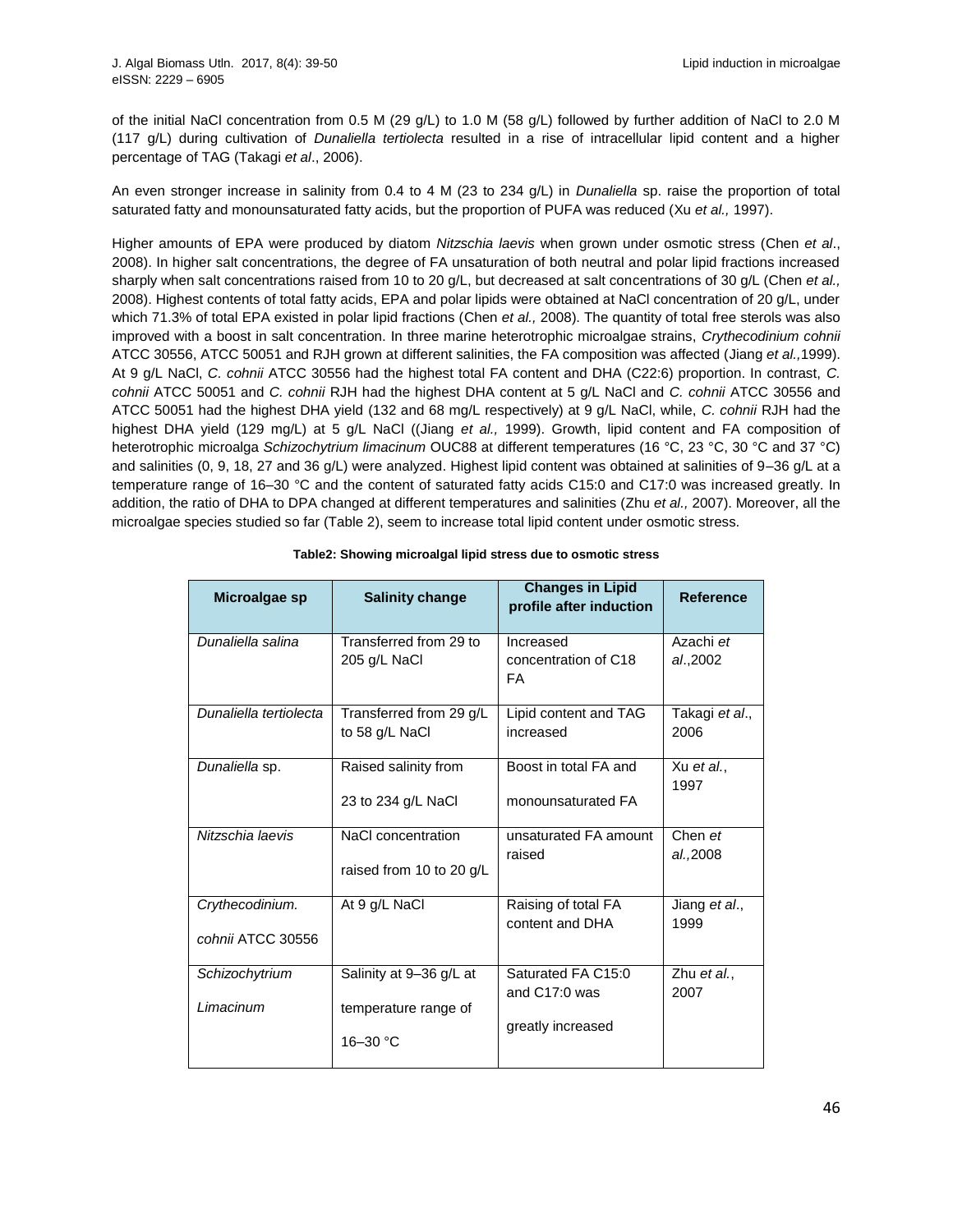of the initial NaCl concentration from 0.5 M (29 g/L) to 1.0 M (58 g/L) followed by further addition of NaCl to 2.0 M (117 g/L) during cultivation of *Dunaliella tertiolecta* resulted in a rise of intracellular lipid content and a higher percentage of TAG (Takagi *et al*., 2006).

An even stronger increase in salinity from 0.4 to 4 M (23 to 234 g/L) in *Dunaliella* sp. raise the proportion of total saturated fatty and monounsaturated fatty acids, but the proportion of PUFA was reduced (Xu *et al.,* 1997).

Higher amounts of EPA were produced by diatom *Nitzschia laevis* when grown under osmotic stress (Chen *et al*., 2008). In higher salt concentrations, the degree of FA unsaturation of both neutral and polar lipid fractions increased sharply when salt concentrations raised from 10 to 20 g/L, but decreased at salt concentrations of 30 g/L (Chen *et al.,* 2008). Highest contents of total fatty acids, EPA and polar lipids were obtained at NaCl concentration of 20 g/L, under which 71.3% of total EPA existed in polar lipid fractions (Chen *et al.,* 2008). The quantity of total free sterols was also improved with a boost in salt concentration. In three marine heterotrophic microalgae strains, *Crythecodinium cohnii*  ATCC 30556, ATCC 50051 and RJH grown at different salinities, the FA composition was affected (Jiang *et al.,*1999). At 9 g/L NaCl, *C. cohnii* ATCC 30556 had the highest total FA content and DHA (C22:6) proportion. In contrast, *C. cohnii* ATCC 50051 and *C. cohnii* RJH had the highest DHA content at 5 g/L NaCl and *C. cohnii* ATCC 30556 and ATCC 50051 had the highest DHA yield (132 and 68 mg/L respectively) at 9 g/L NaCl, while, *C. cohnii* RJH had the highest DHA yield (129 mg/L) at 5 g/L NaCl ((Jiang et al., 1999). Growth, lipid content and FA composition of heterotrophic microalga *Schizochytrium limacinum* OUC88 at different temperatures (16 °C, 23 °C, 30 °C and 37 °C) and salinities (0, 9, 18, 27 and 36 g/L) were analyzed. Highest lipid content was obtained at salinities of 9–36 g/L at a temperature range of 16–30 °C and the content of saturated fatty acids C15:0 and C17:0 was increased greatly. In addition, the ratio of DHA to DPA changed at different temperatures and salinities (Zhu *et al.,* 2007). Moreover, all the microalgae species studied so far (Table 2), seem to increase total lipid content under osmotic stress.

| Microalgae sp               | <b>Salinity change</b>                                          | <b>Changes in Lipid</b><br>profile after induction       | <b>Reference</b>      |
|-----------------------------|-----------------------------------------------------------------|----------------------------------------------------------|-----------------------|
| Dunaliella salina           | Transferred from 29 to<br>205 g/L NaCl                          | Increased<br>concentration of C18<br>FA                  | Azachi et<br>al.,2002 |
| Dunaliella tertiolecta      | Transferred from 29 g/L                                         | Lipid content and TAG                                    | Takagi et al.,        |
|                             | to 58 g/L NaCl                                                  | increased                                                | 2006                  |
| Dunaliella sp.              | Raised salinity from                                            | Boost in total FA and                                    | Xu et al.,            |
|                             | 23 to 234 g/L NaCl                                              | monounsaturated FA                                       | 1997                  |
| Nitzschia laevis            | NaCl concentration                                              | unsaturated FA amount                                    | Chen et               |
|                             | raised from 10 to 20 g/L                                        | raised                                                   | al.,2008              |
| Crythecodinium.             | At 9 g/L NaCl                                                   | Raising of total FA                                      | Jiang et al.,         |
| cohnii ATCC 30556           |                                                                 | content and DHA                                          | 1999                  |
| Schizochytrium<br>Limacinum | Salinity at 9-36 g/L at<br>temperature range of<br>$16 - 30 °C$ | Saturated FA C15:0<br>and C17:0 was<br>greatly increased | Zhu et al.,<br>2007   |

|  | Table2: Showing microalgal lipid stress due to osmotic stress |
|--|---------------------------------------------------------------|
|--|---------------------------------------------------------------|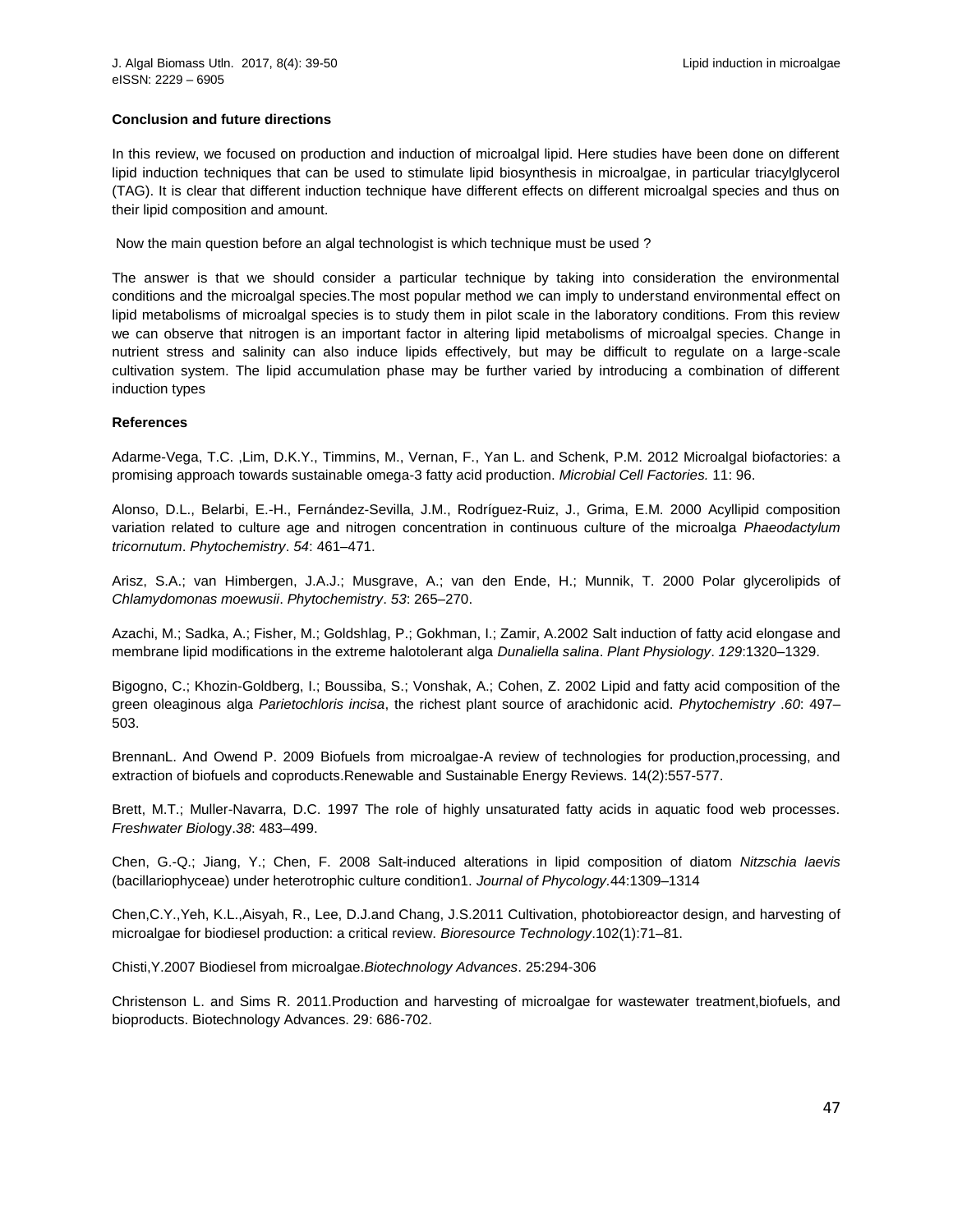## **Conclusion and future directions**

In this review, we focused on production and induction of microalgal lipid. Here studies have been done on different lipid induction techniques that can be used to stimulate lipid biosynthesis in microalgae, in particular triacylglycerol (TAG). It is clear that different induction technique have different effects on different microalgal species and thus on their lipid composition and amount.

Now the main question before an algal technologist is which technique must be used ?

The answer is that we should consider a particular technique by taking into consideration the environmental conditions and the microalgal species.The most popular method we can imply to understand environmental effect on lipid metabolisms of microalgal species is to study them in pilot scale in the laboratory conditions. From this review we can observe that nitrogen is an important factor in altering lipid metabolisms of microalgal species. Change in nutrient stress and salinity can also induce lipids effectively, but may be difficult to regulate on a large-scale cultivation system. The lipid accumulation phase may be further varied by introducing a combination of different induction types

#### **References**

Adarme-Vega, T.C. ,Lim, D.K.Y., Timmins, M., Vernan, F., Yan L. and Schenk, P.M. 2012 Microalgal biofactories: a promising approach towards sustainable omega-3 fatty acid production. *Microbial Cell Factories.* 11: 96.

Alonso, D.L., Belarbi, E.-H., Fernández-Sevilla, J.M., Rodríguez-Ruiz, J., Grima, E.M. 2000 Acyllipid composition variation related to culture age and nitrogen concentration in continuous culture of the microalga *Phaeodactylum tricornutum*. *Phytochemistry*. *54*: 461–471.

Arisz, S.A.; van Himbergen, J.A.J.; Musgrave, A.; van den Ende, H.; Munnik, T. 2000 Polar glycerolipids of *Chlamydomonas moewusii*. *Phytochemistry*. *53*: 265–270.

Azachi, M.; Sadka, A.; Fisher, M.; Goldshlag, P.; Gokhman, I.; Zamir, A.2002 Salt induction of fatty acid elongase and membrane lipid modifications in the extreme halotolerant alga *Dunaliella salina*. *Plant Physiology*. *129*:1320–1329.

Bigogno, C.; Khozin-Goldberg, I.; Boussiba, S.; Vonshak, A.; Cohen, Z. 2002 Lipid and fatty acid composition of the green oleaginous alga *Parietochloris incisa*, the richest plant source of arachidonic acid. *Phytochemistry* .*60*: 497– 503.

BrennanL. And Owend P. 2009 Biofuels from microalgae-A review of technologies for production,processing, and extraction of biofuels and coproducts.Renewable and Sustainable Energy Reviews. 14(2):557-577.

Brett, M.T.; Muller-Navarra, D.C. 1997 The role of highly unsaturated fatty acids in aquatic food web processes. *Freshwater Biol*ogy.*38*: 483–499.

Chen, G.-Q.; Jiang, Y.; Chen, F. 2008 Salt-induced alterations in lipid composition of diatom *Nitzschia laevis*  (bacillariophyceae) under heterotrophic culture condition1. *Journal of Phycology.*44:1309–1314

Chen,C.Y.,Yeh, K.L.,Aisyah, R., Lee, D.J.and Chang, J.S.2011 Cultivation, photobioreactor design, and harvesting of microalgae for biodiesel production: a critical review. *Bioresource Technology*.102(1):71–81.

Chisti,Y.2007 Biodiesel from microalgae.*Biotechnology Advances*. 25:294-306

Christenson L. and Sims R. 2011.Production and harvesting of microalgae for wastewater treatment,biofuels, and bioproducts. Biotechnology Advances. 29: 686-702.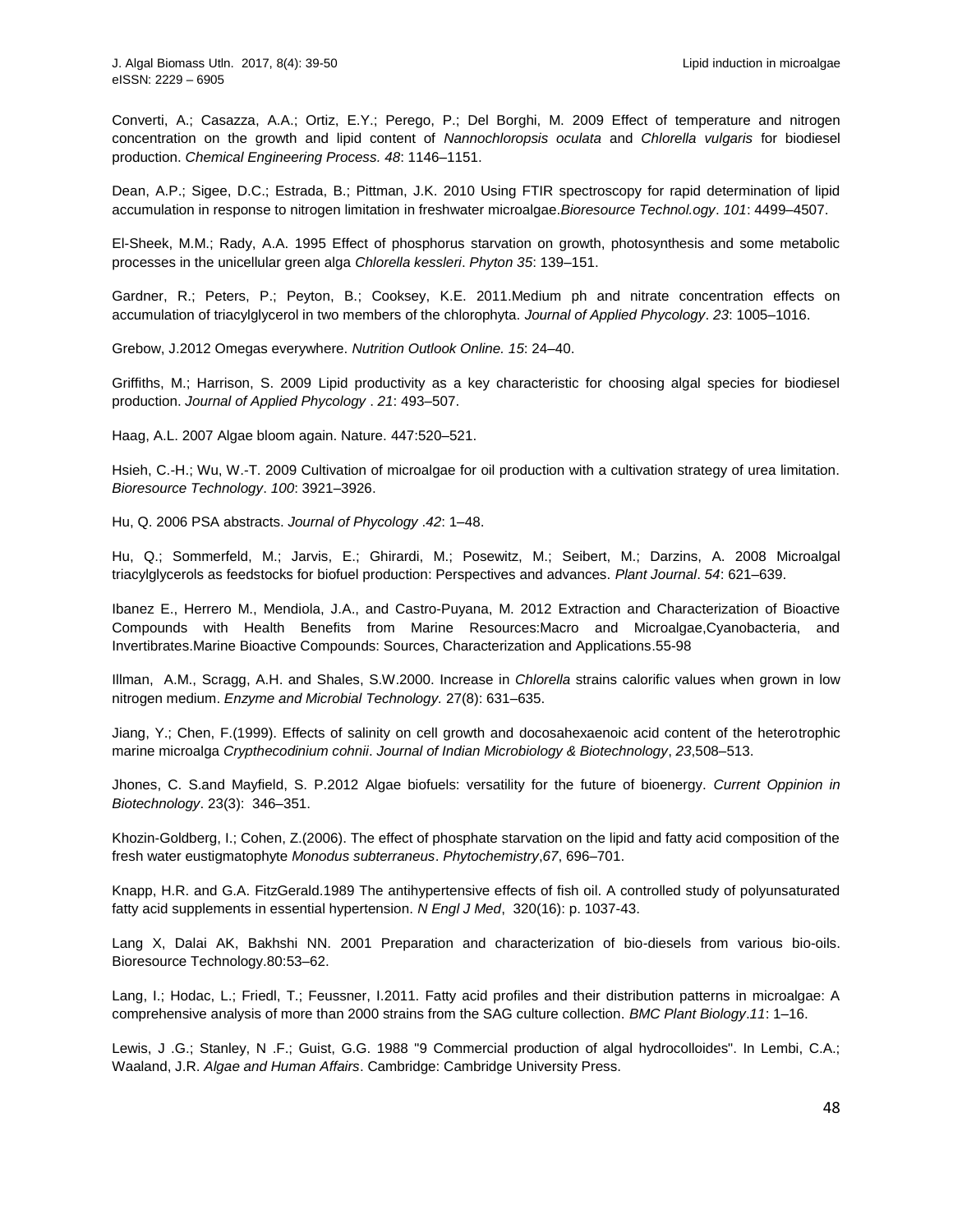Converti, A.; Casazza, A.A.; Ortiz, E.Y.; Perego, P.; Del Borghi, M. 2009 Effect of temperature and nitrogen concentration on the growth and lipid content of *Nannochloropsis oculata* and *Chlorella vulgaris* for biodiesel production. *Chemical Engineering Process. 48*: 1146–1151.

Dean, A.P.; Sigee, D.C.; Estrada, B.; Pittman, J.K. 2010 Using FTIR spectroscopy for rapid determination of lipid accumulation in response to nitrogen limitation in freshwater microalgae.*Bioresource Technol.ogy*. *101*: 4499–4507.

El-Sheek, M.M.; Rady, A.A. 1995 Effect of phosphorus starvation on growth, photosynthesis and some metabolic processes in the unicellular green alga *Chlorella kessleri*. *Phyton 35*: 139–151.

Gardner, R.; Peters, P.; Peyton, B.; Cooksey, K.E. 2011.Medium ph and nitrate concentration effects on accumulation of triacylglycerol in two members of the chlorophyta. *Journal of Applied Phycology*. *23*: 1005–1016.

Grebow, J.2012 Omegas everywhere. *Nutrition Outlook Online. 15*: 24–40.

Griffiths, M.; Harrison, S. 2009 Lipid productivity as a key characteristic for choosing algal species for biodiesel production. *Journal of Applied Phycology* . *21*: 493–507.

Haag, A.L. 2007 Algae bloom again. Nature. 447:520–521.

Hsieh, C.-H.; Wu, W.-T. 2009 Cultivation of microalgae for oil production with a cultivation strategy of urea limitation. *Bioresource Technology*. *100*: 3921–3926.

Hu, Q. 2006 PSA abstracts. *Journal of Phycology* .*42*: 1–48.

Hu, Q.; Sommerfeld, M.; Jarvis, E.; Ghirardi, M.; Posewitz, M.; Seibert, M.; Darzins, A. 2008 Microalgal triacylglycerols as feedstocks for biofuel production: Perspectives and advances. *Plant Journal*. *54*: 621–639.

Ibanez E., Herrero M., Mendiola, J.A., and Castro-Puyana, M. 2012 Extraction and Characterization of Bioactive Compounds with Health Benefits from Marine Resources:Macro and Microalgae,Cyanobacteria, and Invertibrates.Marine Bioactive Compounds: Sources, Characterization and Applications.55-98

Illman, A.M., Scragg, A.H. and Shales, S.W.2000. Increase in *Chlorella* strains calorific values when grown in low nitrogen medium. *Enzyme and Microbial Technology.* 27(8): 631–635.

Jiang, Y.; Chen, F.(1999). Effects of salinity on cell growth and docosahexaenoic acid content of the heterotrophic marine microalga *Crypthecodinium cohnii*. *Journal of Indian Microbiology & Biotechnology*, *23*,508–513.

Jhones, C. S.and Mayfield, S. P.2012 Algae biofuels: versatility for the future of bioenergy. *Current Oppinion in Biotechnology*. 23(3): 346–351.

Khozin-Goldberg, I.; Cohen, Z.(2006). The effect of phosphate starvation on the lipid and fatty acid composition of the fresh water eustigmatophyte *Monodus subterraneus*. *Phytochemistry*,*67*, 696–701.

Knapp, H.R. and G.A. FitzGerald.1989 The antihypertensive effects of fish oil. A controlled study of polyunsaturated fatty acid supplements in essential hypertension. *N Engl J Med*, 320(16): p. 1037-43.

Lang X, Dalai AK, Bakhshi NN. 2001 Preparation and characterization of bio-diesels from various bio-oils. Bioresource Technology.80:53–62.

Lang, I.; Hodac, L.; Friedl, T.; Feussner, I.2011. Fatty acid profiles and their distribution patterns in microalgae: A comprehensive analysis of more than 2000 strains from the SAG culture collection. *BMC Plant Biology*.*11*: 1–16.

Lewis, J .G.; Stanley, N .F.; Guist, G.G. 1988 "9 Commercial production of algal hydrocolloides". In Lembi, C.A.; Waaland, J.R. *Algae and Human Affairs*. Cambridge: Cambridge University Press.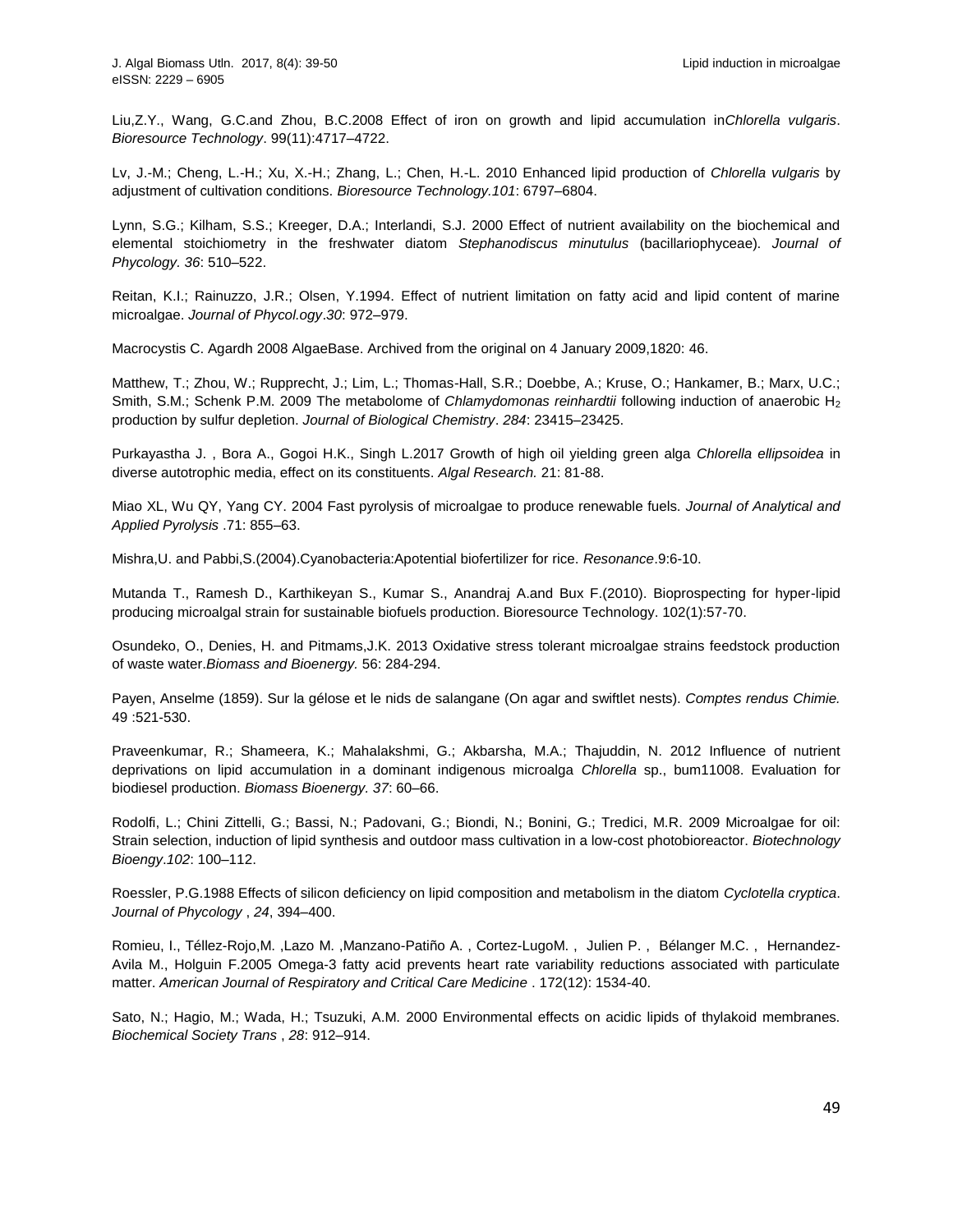Liu,Z.Y., Wang, G.C.and Zhou, B.C.2008 Effect of iron on growth and lipid accumulation in*Chlorella vulgaris*. *Bioresource Technology*. 99(11):4717–4722.

Lv, J.-M.; Cheng, L.-H.; Xu, X.-H.; Zhang, L.; Chen, H.-L. 2010 Enhanced lipid production of *Chlorella vulgaris* by adjustment of cultivation conditions. *Bioresource Technology.101*: 6797–6804.

Lynn, S.G.; Kilham, S.S.; Kreeger, D.A.; Interlandi, S.J. 2000 Effect of nutrient availability on the biochemical and elemental stoichiometry in the freshwater diatom *Stephanodiscus minutulus* (bacillariophyceae). *Journal of Phycology. 36*: 510–522.

Reitan, K.I.; Rainuzzo, J.R.; Olsen, Y.1994. Effect of nutrient limitation on fatty acid and lipid content of marine microalgae. *Journal of Phycol.ogy*.*30*: 972–979.

Macrocystis C. Agardh 2008 AlgaeBase. [Archived](http://web.archive.org/web/20090104145632/http:/www.algaebase.org/generadetail.lasso?genus_id=35715&-session=abv3:51909EC307dcf25DFApmi3530315) from the original on 4 January 2009,1820: 46.

Matthew, T.; Zhou, W.; Rupprecht, J.; Lim, L.; Thomas-Hall, S.R.; Doebbe, A.; Kruse, O.; Hankamer, B.; Marx, U.C.; Smith, S.M.; Schenk P.M. 2009 The metabolome of *Chlamydomonas reinhardtii* following induction of anaerobic H<sup>2</sup> production by sulfur depletion. *Journal of Biological Chemistry*. *284*: 23415–23425.

Purkayastha J. , Bora A., Gogoi H.K., Singh L.2017 Growth of high oil yielding green alga *Chlorella ellipsoidea* in diverse autotrophic media, effect on its constituents. *Algal Research.* 21: 81-88.

Miao XL, Wu QY, Yang CY. 2004 Fast pyrolysis of microalgae to produce renewable fuels. *Journal of Analytical and Applied Pyrolysis* .71: 855–63.

Mishra,U. and Pabbi,S.(2004).Cyanobacteria:Apotential biofertilizer for rice. *Resonance*.9:6-10.

Mutanda T., Ramesh D., Karthikeyan S., Kumar S., Anandraj A.and Bux F.(2010). Bioprospecting for hyper-lipid producing microalgal strain for sustainable biofuels production. Bioresource Technology. 102(1):57-70.

Osundeko, O., Denies, H. and Pitmams,J.K. 2013 Oxidative stress tolerant microalgae strains feedstock production of waste water.*Biomass and Bioenergy.* 56: 284-294.

Payen, Anselme (1859). [Sur la gélose et le nids de salangane](http://gallica.bnf.fr/ark:/12148/bpt6k3006f/f523.image.langEN) (On agar and swiftlet nests). *Comptes rendus Chimie.*  49 :521-530.

Praveenkumar, R.; Shameera, K.; Mahalakshmi, G.; Akbarsha, M.A.; Thajuddin, N. 2012 Influence of nutrient deprivations on lipid accumulation in a dominant indigenous microalga *Chlorella* sp., bum11008. Evaluation for biodiesel production. *Biomass Bioenergy. 37*: 60–66.

Rodolfi, L.; Chini Zittelli, G.; Bassi, N.; Padovani, G.; Biondi, N.; Bonini, G.; Tredici, M.R. 2009 Microalgae for oil: Strain selection, induction of lipid synthesis and outdoor mass cultivation in a low-cost photobioreactor. *Biotechnology Bioengy*.*102*: 100–112.

Roessler, P.G.1988 Effects of silicon deficiency on lipid composition and metabolism in the diatom *Cyclotella cryptica*. *Journal of Phycology* , *24*, 394–400.

Romieu, I., Téllez-Rojo,M. ,Lazo M. ,Manzano-Patiño A. , Cortez-LugoM. , Julien P. , Bélanger M.C. , Hernandez-Avila M., Holguin F.2005 Omega-3 fatty acid prevents heart rate variability reductions associated with particulate matter. *American Journal of Respiratory and Critical Care Medicine* . 172(12): 1534-40.

Sato, N.; Hagio, M.; Wada, H.; Tsuzuki, A.M. 2000 Environmental effects on acidic lipids of thylakoid membranes. *Biochemical Society Trans* , *28*: 912–914.